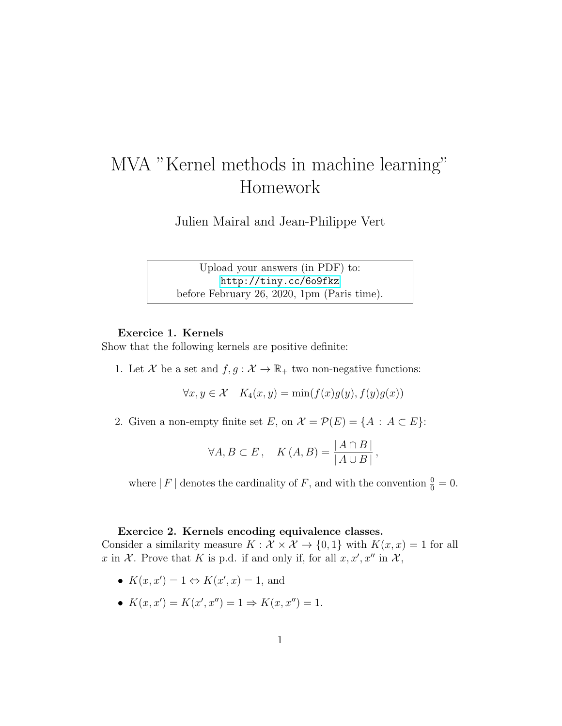# MVA "Kernel methods in machine learning" Homework

Julien Mairal and Jean-Philippe Vert

Upload your answers (in PDF) to: <http://tiny.cc/6o9fkz> before February 26, 2020, 1pm (Paris time).

#### Exercice 1. Kernels

Show that the following kernels are positive definite:

1. Let X be a set and  $f, g : \mathcal{X} \to \mathbb{R}_+$  two non-negative functions:

 $\forall x, y \in \mathcal{X}$   $K_4(x, y) = \min(f(x)g(y), f(y)g(x))$ 

2. Given a non-empty finite set E, on  $\mathcal{X} = \mathcal{P}(E) = \{A : A \subset E\}$ :

$$
\forall A, B \subset E \,, \quad K(A, B) = \frac{|A \cap B|}{|A \cup B|},
$$

where | F | denotes the cardinality of F, and with the convention  $\frac{0}{0} = 0$ .

## Exercice 2. Kernels encoding equivalence classes.

Consider a similarity measure  $K : \mathcal{X} \times \mathcal{X} \to \{0,1\}$  with  $K(x,x) = 1$  for all x in X. Prove that K is p.d. if and only if, for all  $x, x', x''$  in X,

- $K(x, x') = 1 \Leftrightarrow K(x', x) = 1$ , and
- $K(x, x') = K(x', x'') = 1 \Rightarrow K(x, x'') = 1.$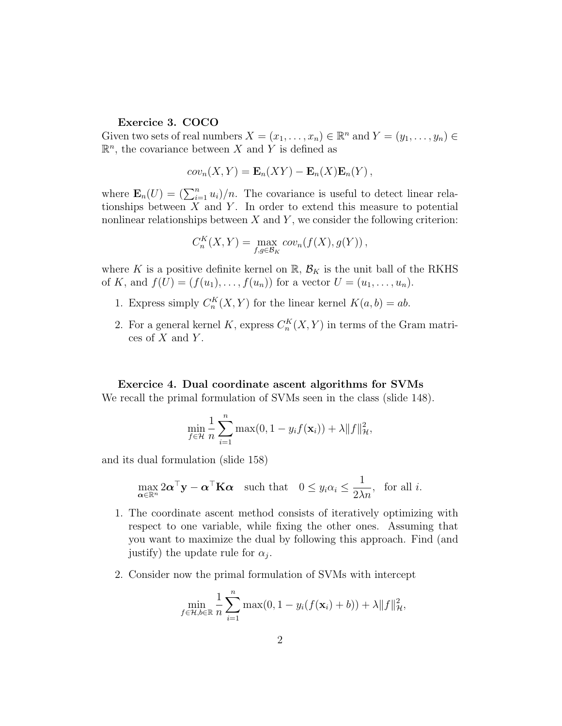## Exercice 3. COCO

Given two sets of real numbers  $X = (x_1, \ldots, x_n) \in \mathbb{R}^n$  and  $Y = (y_1, \ldots, y_n) \in$  $\mathbb{R}^n$ , the covariance between X and Y is defined as

$$
cov_n(X,Y) = \mathbf{E}_n(XY) - \mathbf{E}_n(X)\mathbf{E}_n(Y),
$$

where  $\mathbf{E}_n(U) = (\sum_{i=1}^n u_i)/n$ . The covariance is useful to detect linear relationships between  $X$  and  $Y$ . In order to extend this measure to potential nonlinear relationships between  $X$  and  $Y$ , we consider the following criterion:

$$
C_n^K(X,Y) = \max_{f,g \in \mathcal{B}_K} cov_n(f(X), g(Y)),
$$

where K is a positive definite kernel on  $\mathbb{R}, \mathcal{B}_K$  is the unit ball of the RKHS of K, and  $f(U) = (f(u_1), \ldots, f(u_n))$  for a vector  $U = (u_1, \ldots, u_n)$ .

- 1. Express simply  $C_n^K(X,Y)$  for the linear kernel  $K(a,b) = ab$ .
- 2. For a general kernel K, express  $C_n^K(X, Y)$  in terms of the Gram matrices of  $X$  and  $Y$ .

#### Exercice 4. Dual coordinate ascent algorithms for SVMs

We recall the primal formulation of SVMs seen in the class (slide 148).

$$
\min_{f \in \mathcal{H}} \frac{1}{n} \sum_{i=1}^{n} \max(0, 1 - y_i f(\mathbf{x}_i)) + \lambda \|f\|_{\mathcal{H}}^2,
$$

and its dual formulation (slide 158)

$$
\max_{\alpha \in \mathbb{R}^n} 2\alpha^{\top} \mathbf{y} - \alpha^{\top} \mathbf{K} \alpha \quad \text{such that} \quad 0 \le y_i \alpha_i \le \frac{1}{2\lambda n}, \text{ for all } i.
$$

- 1. The coordinate ascent method consists of iteratively optimizing with respect to one variable, while fixing the other ones. Assuming that you want to maximize the dual by following this approach. Find (and justify) the update rule for  $\alpha_j$ .
- 2. Consider now the primal formulation of SVMs with intercept

$$
\min_{f \in \mathcal{H}, b \in \mathbb{R}} \frac{1}{n} \sum_{i=1}^{n} \max(0, 1 - y_i(f(\mathbf{x}_i) + b)) + \lambda \|f\|_{\mathcal{H}}^2,
$$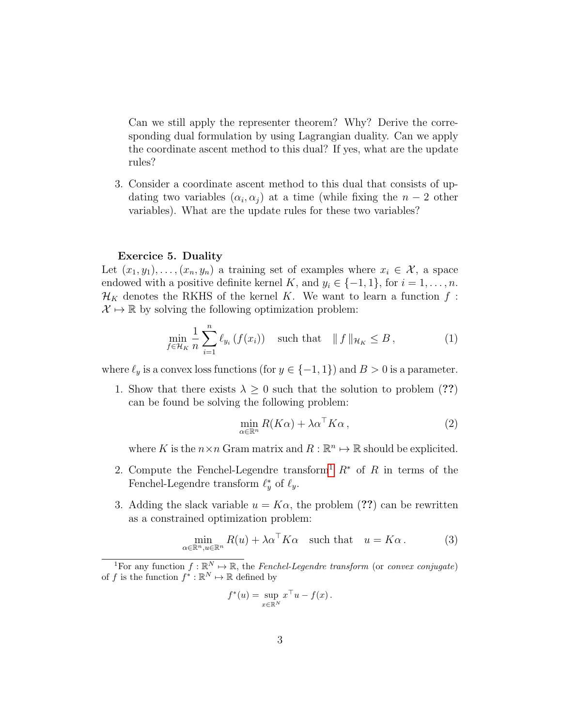Can we still apply the representer theorem? Why? Derive the corresponding dual formulation by using Lagrangian duality. Can we apply the coordinate ascent method to this dual? If yes, what are the update rules?

3. Consider a coordinate ascent method to this dual that consists of updating two variables  $(\alpha_i, \alpha_j)$  at a time (while fixing the  $n-2$  other variables). What are the update rules for these two variables?

#### Exercice 5. Duality

Let  $(x_1, y_1), \ldots, (x_n, y_n)$  a training set of examples where  $x_i \in \mathcal{X}$ , a space endowed with a positive definite kernel K, and  $y_i \in \{-1, 1\}$ , for  $i = 1, \ldots, n$ .  $\mathcal{H}_K$  denotes the RKHS of the kernel K. We want to learn a function f:  $\mathcal{X} \mapsto \mathbb{R}$  by solving the following optimization problem:

$$
\min_{f \in \mathcal{H}_K} \frac{1}{n} \sum_{i=1}^n \ell_{y_i} \left( f(x_i) \right) \quad \text{such that} \quad || f ||_{\mathcal{H}_K} \leq B \,, \tag{1}
$$

where  $\ell_y$  is a convex loss functions (for  $y \in \{-1, 1\}$ ) and  $B > 0$  is a parameter.

1. Show that there exists  $\lambda \geq 0$  such that the solution to problem (??) can be found be solving the following problem:

$$
\min_{\alpha \in \mathbb{R}^n} R(K\alpha) + \lambda \alpha^\top K\alpha \,,\tag{2}
$$

where K is the  $n \times n$  Gram matrix and  $R : \mathbb{R}^n \to \mathbb{R}$  should be explicited.

- 2. Compute the Fenchel-Legendre transform<sup>[1](#page-2-0)</sup>  $R^*$  of R in terms of the Fenchel-Legendre transform  $\ell_y^*$  of  $\ell_y$ .
- 3. Adding the slack variable  $u = K\alpha$ , the problem (??) can be rewritten as a constrained optimization problem:

$$
\min_{\alpha \in \mathbb{R}^n, u \in \mathbb{R}^n} R(u) + \lambda \alpha^{\top} K \alpha \quad \text{such that} \quad u = K \alpha. \tag{3}
$$

$$
f^*(u) = \sup_{x \in \mathbb{R}^N} x^\top u - f(x).
$$

<span id="page-2-0"></span><sup>&</sup>lt;sup>1</sup>For any function  $f : \mathbb{R}^N \to \mathbb{R}$ , the Fenchel-Legendre transform (or convex conjugate) of f is the function  $f^* : \mathbb{R}^N \to \mathbb{R}$  defined by